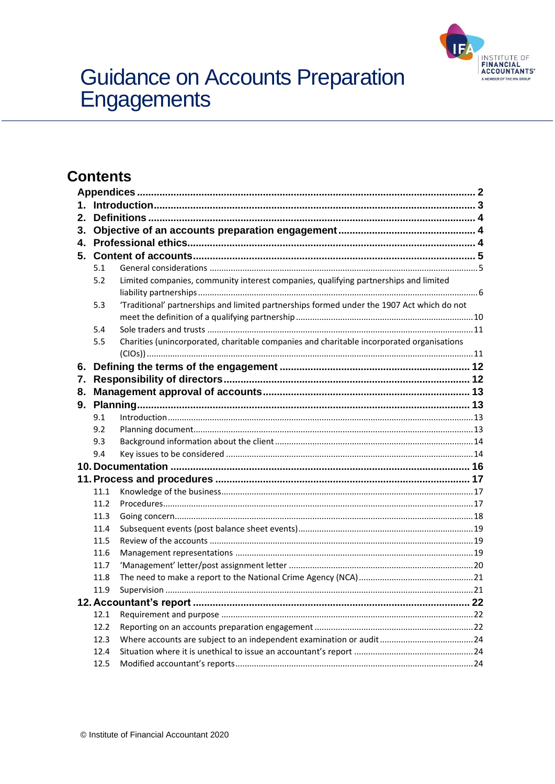

# Guidance on Accounts Preparation<br>Engagements

# **Contents**

| 1. |      |                                                                                            |  |  |  |
|----|------|--------------------------------------------------------------------------------------------|--|--|--|
| 2. |      |                                                                                            |  |  |  |
| 3. |      |                                                                                            |  |  |  |
| 4. |      |                                                                                            |  |  |  |
| 5. |      |                                                                                            |  |  |  |
|    | 5.1  |                                                                                            |  |  |  |
|    | 5.2  | Limited companies, community interest companies, qualifying partnerships and limited       |  |  |  |
|    |      |                                                                                            |  |  |  |
|    | 5.3  | 'Traditional' partnerships and limited partnerships formed under the 1907 Act which do not |  |  |  |
|    |      |                                                                                            |  |  |  |
|    | 5.4  |                                                                                            |  |  |  |
|    | 5.5  | Charities (unincorporated, charitable companies and charitable incorporated organisations  |  |  |  |
|    |      |                                                                                            |  |  |  |
| 6. |      |                                                                                            |  |  |  |
| 7. |      |                                                                                            |  |  |  |
| 8. |      |                                                                                            |  |  |  |
|    |      |                                                                                            |  |  |  |
|    | 9.1  |                                                                                            |  |  |  |
|    | 9.2  |                                                                                            |  |  |  |
|    | 9.3  |                                                                                            |  |  |  |
|    | 9.4  |                                                                                            |  |  |  |
|    |      |                                                                                            |  |  |  |
|    |      |                                                                                            |  |  |  |
|    | 11.1 |                                                                                            |  |  |  |
|    | 11.2 |                                                                                            |  |  |  |
|    | 11.3 |                                                                                            |  |  |  |
|    | 11.4 |                                                                                            |  |  |  |
|    | 11.5 |                                                                                            |  |  |  |
|    | 11.6 |                                                                                            |  |  |  |
|    | 11.7 |                                                                                            |  |  |  |
|    | 11.8 |                                                                                            |  |  |  |
|    | 11.9 |                                                                                            |  |  |  |
|    |      |                                                                                            |  |  |  |
|    | 12.1 |                                                                                            |  |  |  |
|    | 12.2 |                                                                                            |  |  |  |
|    | 12.3 |                                                                                            |  |  |  |
|    | 12.4 |                                                                                            |  |  |  |
|    | 12.5 |                                                                                            |  |  |  |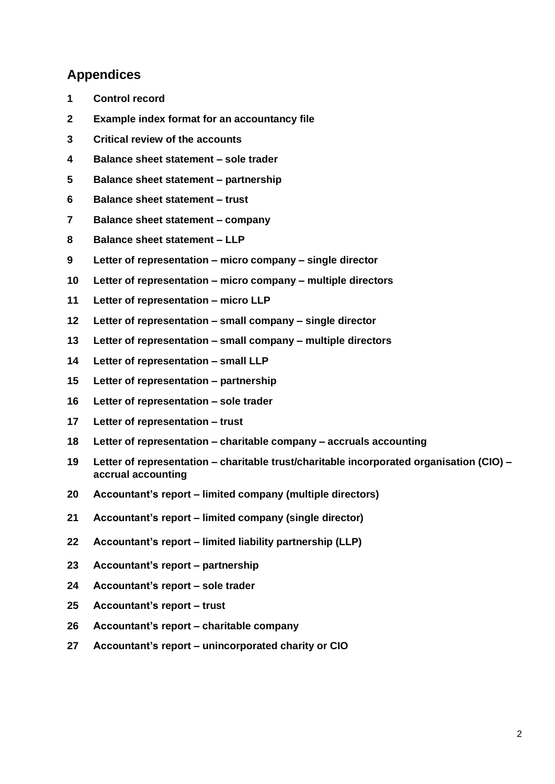## <span id="page-1-0"></span>**Appendices**

- **Control record**
- **Example index format for an accountancy file**
- **Critical review of the accounts**
- **Balance sheet statement – sole trader**
- **Balance sheet statement – partnership**
- **Balance sheet statement – trust**
- **Balance sheet statement – company**
- **Balance sheet statement – LLP**
- **Letter of representation – micro company – single director**
- **Letter of representation – micro company – multiple directors**
- **Letter of representation – micro LLP**
- **Letter of representation – small company – single director**
- **Letter of representation – small company – multiple directors**
- **14 Letter of representation – small LLP**
- **Letter of representation – partnership**
- **Letter of representation – sole trader**
- **Letter of representation – trust**
- **18 Letter of representation – charitable company – accruals accounting**
- **Letter of representation – charitable trust/charitable incorporated organisation (CIO) – accrual accounting**
- **Accountant's report – limited company (multiple directors)**
- **Accountant's report – limited company (single director)**
- **Accountant's report – limited liability partnership (LLP)**
- **Accountant's report – partnership**
- **Accountant's report – sole trader**
- **Accountant's report – trust**
- **Accountant's report – charitable company**
- **Accountant's report – unincorporated charity or CIO**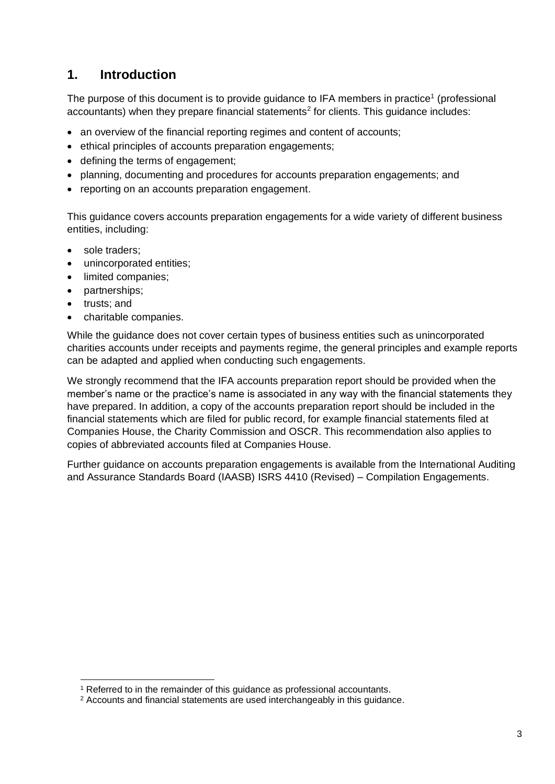# <span id="page-2-0"></span>**1. Introduction**

The purpose of this document is to provide guidance to IFA members in practice<sup>1</sup> (professional accountants) when they prepare financial statements<sup>2</sup> for clients. This guidance includes:

- an overview of the financial reporting regimes and content of accounts;
- ethical principles of accounts preparation engagements;
- defining the terms of engagement;
- planning, documenting and procedures for accounts preparation engagements; and
- reporting on an accounts preparation engagement.

This guidance covers accounts preparation engagements for a wide variety of different business entities, including:

- sole traders;
- unincorporated entities;
- limited companies;
- partnerships;
- trusts; and
- charitable companies.

While the guidance does not cover certain types of business entities such as unincorporated charities accounts under receipts and payments regime, the general principles and example reports can be adapted and applied when conducting such engagements.

We strongly recommend that the IFA accounts preparation report should be provided when the member's name or the practice's name is associated in any way with the financial statements they have prepared. In addition, a copy of the accounts preparation report should be included in the financial statements which are filed for public record, for example financial statements filed at Companies House, the Charity Commission and OSCR. This recommendation also applies to copies of abbreviated accounts filed at Companies House.

Further guidance on accounts preparation engagements is available from the International Auditing and Assurance Standards Board (IAASB) ISRS 4410 (Revised) – [Compilation Engagements.](http://www.ifac.org/system/files/publications/files/B012%202012%20IAASB%20Handbook%20ISRS%204410%20%28revised%29.pdf)

<sup>&</sup>lt;sup>1</sup> Referred to in the remainder of this guidance as professional accountants.

<sup>2</sup> Accounts and financial statements are used interchangeably in this guidance.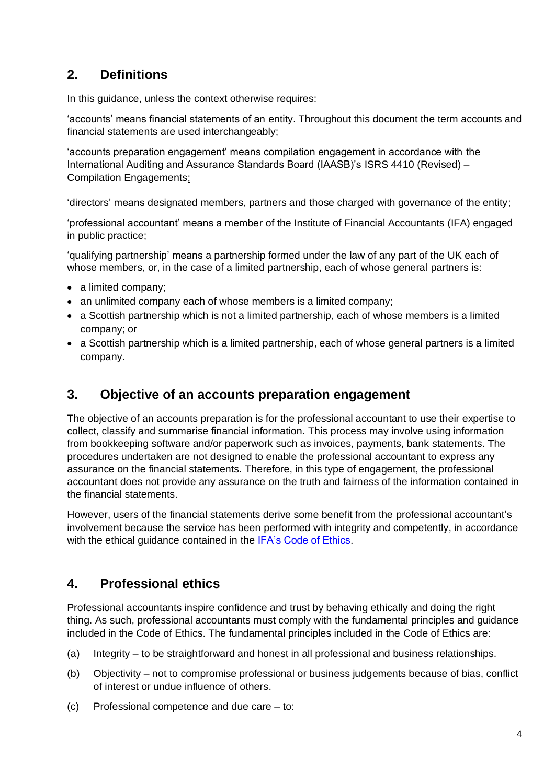# <span id="page-3-0"></span>**2. Definitions**

In this quidance, unless the context otherwise requires:

'accounts' means financial statements of an entity. Throughout this document the term accounts and financial statements are used interchangeably;

'accounts preparation engagement' means compilation engagement in accordance with the International Auditing and Assurance Standards Board (IAASB)'s [ISRS 4410 \(Revised\)](http://www.ifac.org/system/files/publications/files/B012%202012%20IAASB%20Handbook%20ISRS%204410%20%28revised%29.pdf) – [Compilation Engagements;](http://www.ifac.org/system/files/publications/files/B012%202012%20IAASB%20Handbook%20ISRS%204410%20%28revised%29.pdf)

'directors' means designated members, partners and those charged with governance of the entity;

'professional accountant' means a member of the Institute of Financial Accountants (IFA) engaged in public practice;

'qualifying partnership' means a partnership formed under the law of any part of the UK each of whose members, or, in the case of a limited partnership, each of whose general partners is:

- a limited company;
- an unlimited company each of whose members is a limited company;
- a Scottish partnership which is not a limited partnership, each of whose members is a limited company; or
- a Scottish partnership which is a limited partnership, each of whose general partners is a limited company.

## <span id="page-3-1"></span>**3. Objective of an accounts preparation engagement**

The objective of an accounts preparation is for the professional accountant to use their expertise to collect, classify and summarise financial information. This process may involve using information from bookkeeping software and/or paperwork such as invoices, payments, bank statements. The procedures undertaken are not designed to enable the professional accountant to express any assurance on the financial statements. Therefore, in this type of engagement, the professional accountant does not provide any assurance on the truth and fairness of the information contained in the financial statements.

However, users of the financial statements derive some benefit from the professional accountant's involvement because the service has been performed with integrity and competently, in accordance with the ethical guidance contained in the [IFA's Code of Ethics.](https://www.ifa.org.uk/media/1185019/IFA-Code-of-Ethics-effective-March-2020.pdf)

# <span id="page-3-2"></span>**4. Professional ethics**

Professional accountants inspire confidence and trust by behaving ethically and doing the right thing. As such, professional accountants must comply with the fundamental principles and guidance included in the Code of Ethics. The fundamental principles included in the Code of Ethics are:

- (a) Integrity to be straightforward and honest in all professional and business relationships.
- (b) Objectivity not to compromise professional or business judgements because of bias, conflict of interest or undue influence of others.
- (c) Professional competence and due care to: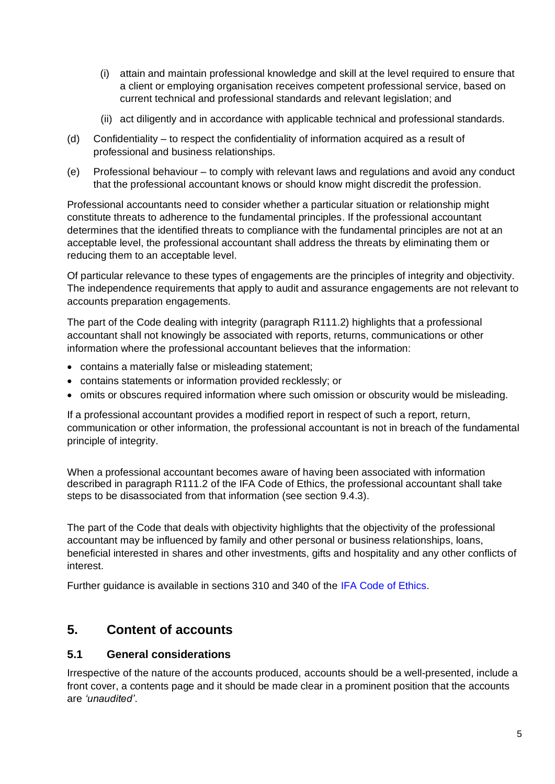- (i) attain and maintain professional knowledge and skill at the level required to ensure that a client or employing organisation receives competent professional service, based on current technical and professional standards and relevant legislation; and
- (ii) act diligently and in accordance with applicable technical and professional standards.
- (d) Confidentiality to respect the confidentiality of information acquired as a result of professional and business relationships.
- (e) Professional behaviour to comply with relevant laws and regulations and avoid any conduct that the professional accountant knows or should know might discredit the profession.

Professional accountants need to consider whether a particular situation or relationship might constitute threats to adherence to the fundamental principles. If the professional accountant determines that the identified threats to compliance with the fundamental principles are not at an acceptable level, the professional accountant shall address the threats by eliminating them or reducing them to an acceptable level.

Of particular relevance to these types of engagements are the principles of integrity and objectivity. The independence requirements that apply to audit and assurance engagements are not relevant to accounts preparation engagements.

The part of the Code dealing with integrity (paragraph R111.2) highlights that a professional accountant shall not knowingly be associated with reports, returns, communications or other information where the professional accountant believes that the information:

- contains a materially false or misleading statement;
- contains statements or information provided recklessly; or
- omits or obscures required information where such omission or obscurity would be misleading.

If a professional accountant provides a modified report in respect of such a report, return, communication or other information, the professional accountant is not in breach of the fundamental principle of integrity.

When a professional accountant becomes aware of having been associated with information described in paragraph R111.2 of the IFA Code of Ethics, the professional accountant shall take steps to be disassociated from that information (see section 9.4.3).

The part of the Code that deals with objectivity highlights that the objectivity of the professional accountant may be influenced by family and other personal or business relationships, loans, beneficial interested in shares and other investments, gifts and hospitality and any other conflicts of interest.

Further guidance is available in sections 310 and 340 of the [IFA Code](https://www.ifa.org.uk/media/1185019/IFA-Code-of-Ethics-effective-March-2020.pdf) of Ethics.

# <span id="page-4-0"></span>**5. Content of accounts**

#### <span id="page-4-1"></span>**5.1 General considerations**

Irrespective of the nature of the accounts produced, accounts should be a well-presented, include a front cover, a contents page and it should be made clear in a prominent position that the accounts are *'unaudited'*.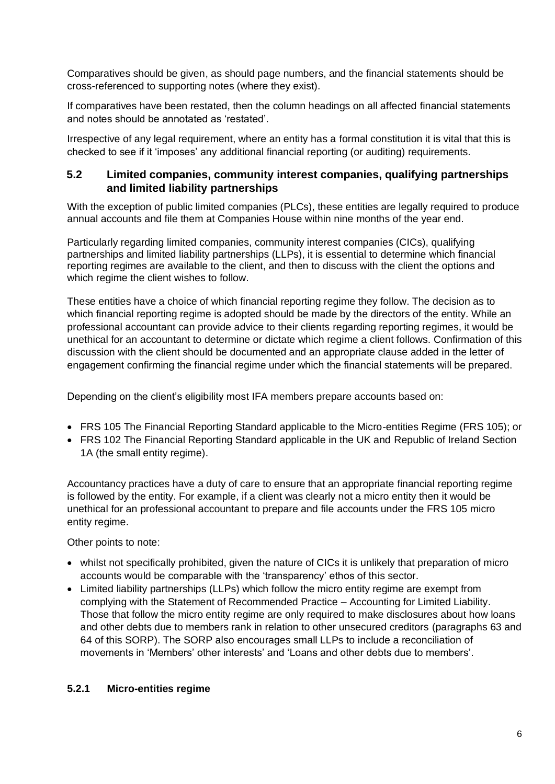Comparatives should be given, as should page numbers, and the financial statements should be cross-referenced to supporting notes (where they exist).

If comparatives have been restated, then the column headings on all affected financial statements and notes should be annotated as 'restated'.

Irrespective of any legal requirement, where an entity has a formal constitution it is vital that this is checked to see if it 'imposes' any additional financial reporting (or auditing) requirements.

## <span id="page-5-0"></span>**5.2 Limited companies, community interest companies, qualifying partnerships and limited liability partnerships**

With the exception of public limited companies (PLCs), these entities are legally required to produce annual accounts and file them at Companies House within nine months of the year end.

Particularly regarding limited companies, community interest companies (CICs), qualifying partnerships and limited liability partnerships (LLPs), it is essential to determine which financial reporting regimes are available to the client, and then to discuss with the client the options and which regime the client wishes to follow.

These entities have a choice of which financial reporting regime they follow. The decision as to which financial reporting regime is adopted should be made by the directors of the entity. While an professional accountant can provide advice to their clients regarding reporting regimes, it would be unethical for an accountant to determine or dictate which regime a client follows. Confirmation of this discussion with the client should be documented and an appropriate clause added in the letter of engagement confirming the financial regime under which the financial statements will be prepared.

Depending on the client's eligibility most IFA members prepare accounts based on:

- [FRS 105 The Financial Reporting Standard applicable to the Micro-entities Regime](https://www.frc.org.uk/accountants/accounting-and-reporting-policy/uk-accounting-standards/standards-in-issue/frs-105-the-financial-reporting-standard-applicabl) (FRS 105); or
- [FRS 102 The Financial Reporting Standard applicable in the UK and](https://www.frc.org.uk/accountants/accounting-and-reporting-policy/uk-accounting-standards/standards-in-issue/frs-102-the-financial-reporting-standard-applicabl) Republic of Ireland Section 1A (the small entity regime).

Accountancy practices have a duty of care to ensure that an appropriate financial reporting regime is followed by the entity. For example, if a client was clearly not a micro entity then it would be unethical for an professional accountant to prepare and file accounts under the FRS 105 micro entity regime.

Other points to note:

- whilst not specifically prohibited, given the nature of CICs it is unlikely that preparation of micro accounts would be comparable with the 'transparency' ethos of this sector.
- Limited liability partnerships (LLPs) which follow the micro entity regime are exempt from complying with the [Statement of Recommended Practice –](http://www.ccab.org.uk/documents/updated2018LLPsFinalSORP.pdf) Accounting for Limited Liability. Those that follow the micro entity regime are only required to make disclosures about how loans and other debts due to members rank in relation to other unsecured creditors (paragraphs 63 and 64 of this SORP). The SORP also encourages small LLPs to include a reconciliation of movements in 'Members' other interests' and 'Loans and other debts due to members'.

#### **5.2.1 Micro-entities regime**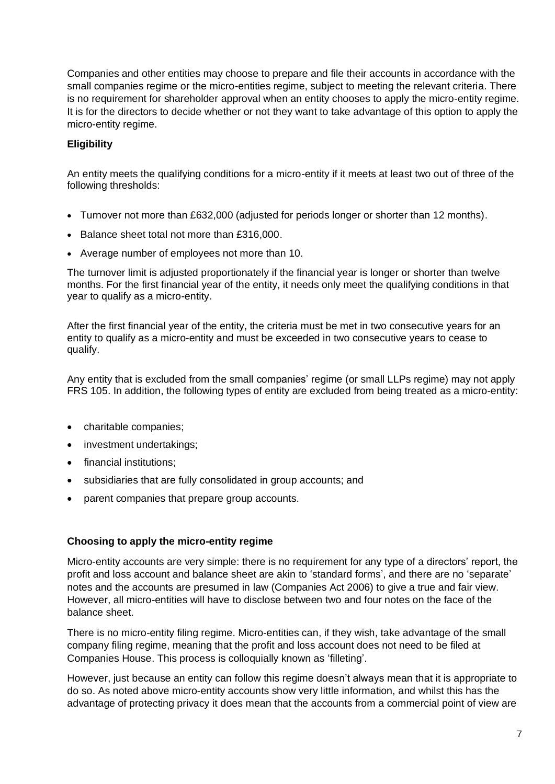Companies and other entities may choose to prepare and file their accounts in accordance with the small companies regime or the micro-entities regime, subject to meeting the relevant criteria. There is no requirement for shareholder approval when an entity chooses to apply the micro-entity regime. It is for the directors to decide whether or not they want to take advantage of this option to apply the micro-entity regime.

#### **Eligibility**

An entity meets the qualifying conditions for a micro-entity if it meets at least two out of three of the following thresholds:

- Turnover not more than £632,000 (adjusted for periods longer or shorter than 12 months).
- Balance sheet total not more than £316,000.
- Average number of employees not more than 10.

The turnover limit is adjusted proportionately if the financial year is longer or shorter than twelve months. For the first financial year of the entity, it needs only meet the qualifying conditions in that year to qualify as a micro-entity.

After the first financial year of the entity, the criteria must be met in two consecutive years for an entity to qualify as a micro-entity and must be exceeded in two consecutive years to cease to qualify.

Any entity that is excluded from the small companies' regime (or small LLPs regime) may not apply FRS 105. In addition, the following types of entity are excluded from being treated as a micro-entity:

- charitable companies;
- investment undertakings:
- financial institutions;
- subsidiaries that are fully consolidated in group accounts; and
- parent companies that prepare group accounts.

#### **Choosing to apply the micro-entity regime**

Micro-entity accounts are very simple: there is no requirement for any type of a directors' report, the profit and loss account and balance sheet are akin to 'standard forms', and there are no 'separate' notes and the accounts are presumed in law (Companies Act 2006) to give a true and fair view. However, all micro-entities will have to disclose between two and four notes on the face of the balance sheet.

There is no micro-entity filing regime. Micro-entities can, if they wish, take advantage of the small company filing regime, meaning that the profit and loss account does not need to be filed at Companies House. This process is colloquially known as 'filleting'.

However, just because an entity can follow this regime doesn't always mean that it is appropriate to do so. As noted above micro-entity accounts show very little information, and whilst this has the advantage of protecting privacy it does mean that the accounts from a commercial point of view are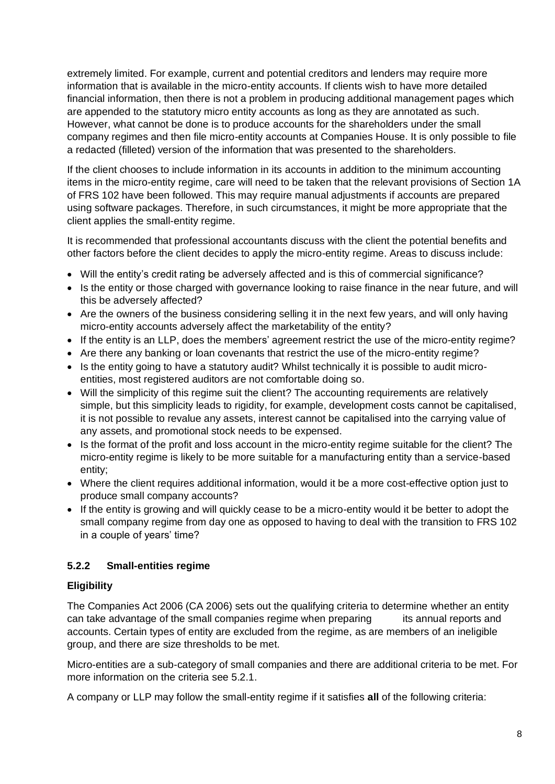extremely limited. For example, current and potential creditors and lenders may require more information that is available in the micro-entity accounts. If clients wish to have more detailed financial information, then there is not a problem in producing additional management pages which are appended to the statutory micro entity accounts as long as they are annotated as such. However, what cannot be done is to produce accounts for the shareholders under the small company regimes and then file micro-entity accounts at Companies House. It is only possible to file a redacted (filleted) version of the information that was presented to the shareholders.

If the client chooses to include information in its accounts in addition to the minimum accounting items in the micro-entity regime, care will need to be taken that the relevant provisions of Section 1A of FRS 102 have been followed. This may require manual adjustments if accounts are prepared using software packages. Therefore, in such circumstances, it might be more appropriate that the client applies the small-entity regime.

It is recommended that professional accountants discuss with the client the potential benefits and other factors before the client decides to apply the micro-entity regime. Areas to discuss include:

- Will the entity's credit rating be adversely affected and is this of commercial significance?
- Is the entity or those charged with governance looking to raise finance in the near future, and will this be adversely affected?
- Are the owners of the business considering selling it in the next few years, and will only having micro-entity accounts adversely affect the marketability of the entity?
- If the entity is an LLP, does the members' agreement restrict the use of the micro-entity regime?
- Are there any banking or loan covenants that restrict the use of the micro-entity regime?
- Is the entity going to have a statutory audit? Whilst technically it is possible to audit microentities, most registered auditors are not comfortable doing so.
- Will the simplicity of this regime suit the client? The accounting requirements are relatively simple, but this simplicity leads to rigidity, for example, development costs cannot be capitalised, it is not possible to revalue any assets, interest cannot be capitalised into the carrying value of any assets, and promotional stock needs to be expensed.
- Is the format of the profit and loss account in the micro-entity regime suitable for the client? The micro-entity regime is likely to be more suitable for a manufacturing entity than a service-based entity;
- Where the client requires additional information, would it be a more cost-effective option just to produce small company accounts?
- If the entity is growing and will quickly cease to be a micro-entity would it be better to adopt the small company regime from day one as opposed to having to deal with the transition to FRS 102 in a couple of years' time?

## **5.2.2 Small-entities regime**

## **Eligibility**

The Companies Act 2006 (CA 2006) sets out the qualifying criteria to determine whether an entity can take advantage of the small companies regime when preparing its annual reports and accounts. Certain types of entity are excluded from the regime, as are members of an ineligible group, and there are size thresholds to be met.

Micro-entities are a sub-category of small companies and there are additional criteria to be met. For more information on the criteria see 5.2.1.

A company or LLP may follow the small-entity regime if it satisfies **all** of the following criteria: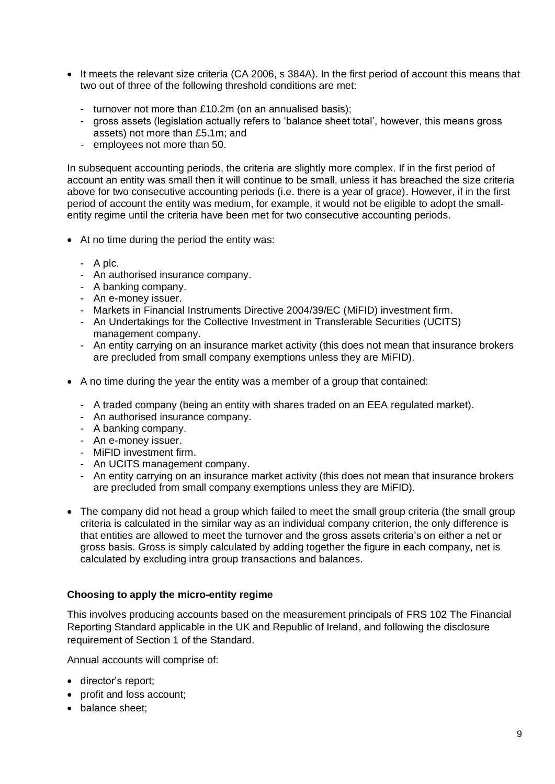- It meets the relevant size criteria (CA 2006, s 384A). In the first period of account this means that two out of three of the following threshold conditions are met:
	- turnover not more than £10.2m (on an annualised basis);
	- gross assets (legislation actually refers to 'balance sheet total', however, this means gross assets) not more than £5.1m; and
	- employees not more than 50.

In subsequent accounting periods, the criteria are slightly more complex. If in the first period of account an entity was small then it will continue to be small, unless it has breached the size criteria above for two consecutive accounting periods (i.e. there is a year of grace). However, if in the first period of account the entity was medium, for example, it would not be eligible to adopt the smallentity regime until the criteria have been met for two consecutive accounting periods.

- At no time during the period the entity was:
	- A plc.
	- An authorised insurance company.
	- A banking company.
	- An e-money issuer.
	- Markets in Financial Instruments Directive 2004/39/EC (MiFID) investment firm.
	- An Undertakings for the Collective Investment in Transferable Securities (UCITS) management company.
	- An entity carrying on an insurance market activity (this does not mean that insurance brokers are precluded from small company exemptions unless they are MiFID).
- A no time during the year the entity was a member of a group that contained:
	- A traded company (being an entity with shares traded on an EEA regulated market).
	- An authorised insurance company.
	- A banking company.
	- An e-money issuer.
	- MiFID investment firm.
	- An UCITS management company.
	- An entity carrying on an insurance market activity (this does not mean that insurance brokers are precluded from small company exemptions unless they are MiFID).
- The company did not head a group which failed to meet the small group criteria (the small group criteria is calculated in the similar way as an individual company criterion, the only difference is that entities are allowed to meet the turnover and the gross assets criteria's on either a net or gross basis. Gross is simply calculated by adding together the figure in each company, net is calculated by excluding intra group transactions and balances.

#### **Choosing to apply the micro-entity regime**

This involves producing accounts based on the measurement principals of [FRS 102 The Financial](https://www.frc.org.uk/accountants/accounting-and-reporting-policy/uk-accounting-standards/standards-in-issue/frs-102-the-financial-reporting-standard-applicabl)  [Reporting Standard applicable in the UK and Republic of Ireland,](https://www.frc.org.uk/accountants/accounting-and-reporting-policy/uk-accounting-standards/standards-in-issue/frs-102-the-financial-reporting-standard-applicabl) and following the disclosure requirement of Section 1 of the Standard.

Annual accounts will comprise of:

- director's report;
- profit and loss account;
- balance sheet;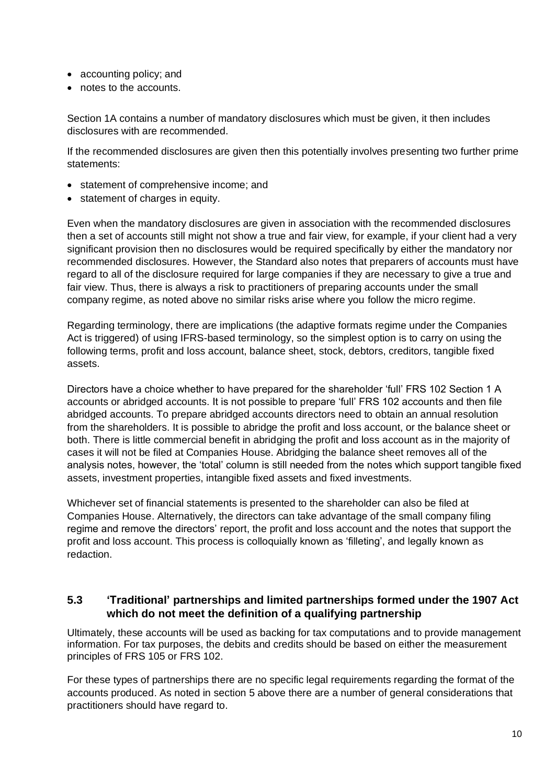- accounting policy; and
- notes to the accounts.

Section 1A contains a number of mandatory disclosures which must be given, it then includes disclosures with are recommended.

If the recommended disclosures are given then this potentially involves presenting two further prime statements:

- statement of comprehensive income; and
- statement of charges in equity.

Even when the mandatory disclosures are given in association with the recommended disclosures then a set of accounts still might not show a true and fair view, for example, if your client had a very significant provision then no disclosures would be required specifically by either the mandatory nor recommended disclosures. However, the Standard also notes that preparers of accounts must have regard to all of the disclosure required for large companies if they are necessary to give a true and fair view. Thus, there is always a risk to practitioners of preparing accounts under the small company regime, as noted above no similar risks arise where you follow the micro regime.

Regarding terminology, there are implications (the adaptive formats regime under the Companies Act is triggered) of using IFRS-based terminology, so the simplest option is to carry on using the following terms, profit and loss account, balance sheet, stock, debtors, creditors, tangible fixed assets.

Directors have a choice whether to have prepared for the shareholder 'full' FRS 102 Section 1 A accounts or abridged accounts. It is not possible to prepare 'full' FRS 102 accounts and then file abridged accounts. To prepare abridged accounts directors need to obtain an annual resolution from the shareholders. It is possible to abridge the profit and loss account, or the balance sheet or both. There is little commercial benefit in abridging the profit and loss account as in the majority of cases it will not be filed at Companies House. Abridging the balance sheet removes all of the analysis notes, however, the 'total' column is still needed from the notes which support tangible fixed assets, investment properties, intangible fixed assets and fixed investments.

Whichever set of financial statements is presented to the shareholder can also be filed at Companies House. Alternatively, the directors can take advantage of the small company filing regime and remove the directors' report, the profit and loss account and the notes that support the profit and loss account. This process is colloquially known as 'filleting', and legally known as redaction.

## <span id="page-9-0"></span>**5.3 'Traditional' partnerships and limited partnerships formed under the 1907 Act which do not meet the definition of a qualifying partnership**

Ultimately, these accounts will be used as backing for tax computations and to provide management information. For tax purposes, the debits and credits should be based on either the measurement principles of FRS 105 or FRS 102.

For these types of partnerships there are no specific legal requirements regarding the format of the accounts produced. As noted in section 5 above there are a number of general considerations that practitioners should have regard to.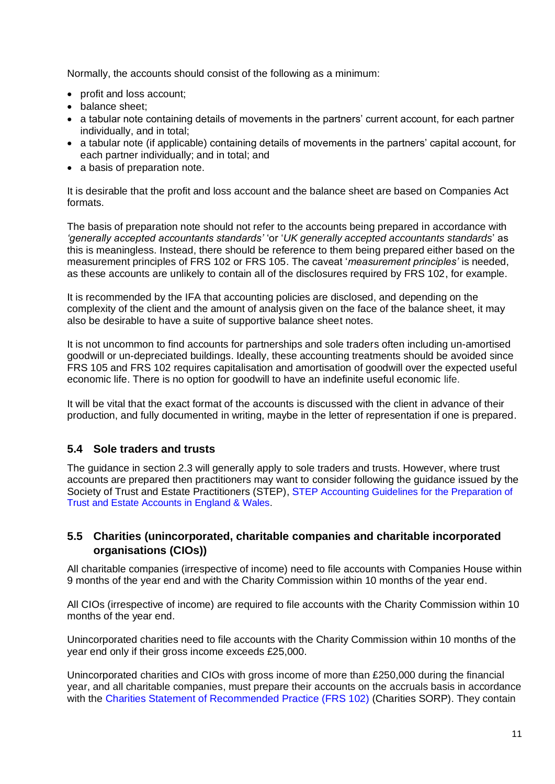Normally, the accounts should consist of the following as a minimum:

- profit and loss account;
- balance sheet:
- a tabular note containing details of movements in the partners' current account, for each partner individually, and in total;
- a tabular note (if applicable) containing details of movements in the partners' capital account, for each partner individually; and in total; and
- a basis of preparation note.

It is desirable that the profit and loss account and the balance sheet are based on Companies Act formats.

The basis of preparation note should not refer to the accounts being prepared in accordance with *'generally accepted accountants standards'* 'or '*UK generally accepted accountants standards*' as this is meaningless. Instead, there should be reference to them being prepared either based on the measurement principles of FRS 102 or FRS 105. The caveat '*measurement principles'* is needed, as these accounts are unlikely to contain all of the disclosures required by FRS 102, for example.

It is recommended by the IFA that accounting policies are disclosed, and depending on the complexity of the client and the amount of analysis given on the face of the balance sheet, it may also be desirable to have a suite of supportive balance sheet notes.

It is not uncommon to find accounts for partnerships and sole traders often including un-amortised goodwill or un-depreciated buildings. Ideally, these accounting treatments should be avoided since FRS 105 and FRS 102 requires capitalisation and amortisation of goodwill over the expected useful economic life. There is no option for goodwill to have an indefinite useful economic life.

It will be vital that the exact format of the accounts is discussed with the client in advance of their production, and fully documented in writing, maybe in the letter of representation if one is prepared.

## <span id="page-10-0"></span>**5.4 Sole traders and trusts**

The guidance in section 2.3 will generally apply to sole traders and trusts. However, where trust accounts are prepared then practitioners may want to consider following the guidance issued by the Society of Trust and Estate Practitioners (STEP), S[TEP Accounting Guidelines for the Preparation of](https://www.step.org/knowledge/step-books)  [Trust and Estate Accounts in England & Wales.](https://www.step.org/knowledge/step-books)

#### <span id="page-10-1"></span>**5.5 Charities (unincorporated, charitable companies and charitable incorporated organisations (CIOs))**

All charitable companies (irrespective of income) need to file accounts with Companies House within 9 months of the year end and with the Charity Commission within 10 months of the year end.

All CIOs (irrespective of income) are required to file accounts with the Charity Commission within 10 months of the year end.

Unincorporated charities need to file accounts with the Charity Commission within 10 months of the year end only if their gross income exceeds £25,000.

Unincorporated charities and CIOs with gross income of more than £250,000 during the financial year, and all charitable companies, must prepare their accounts on the accruals basis in accordance with the [Charities Statement of Recommended Practice \(FRS 102\)](https://www.gov.uk/government/publications/charities-sorp-2005) (Charities SORP). They contain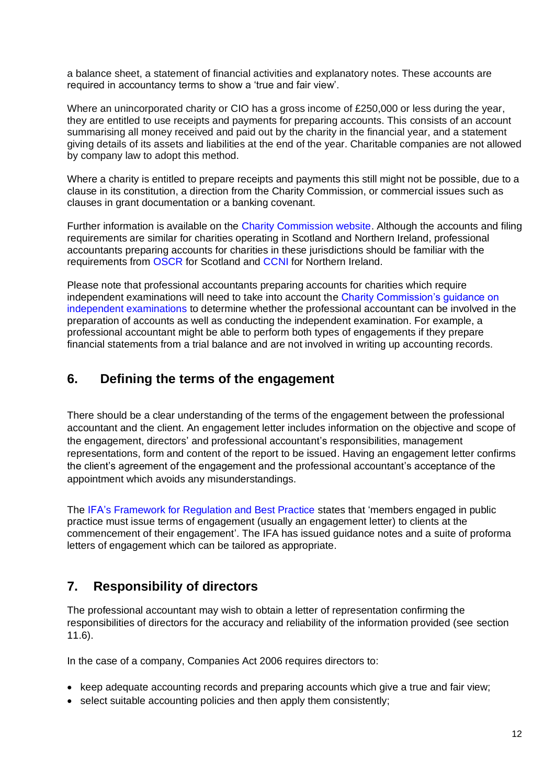a balance sheet, a statement of financial activities and explanatory notes. These accounts are required in accountancy terms to show a 'true and fair view'.

Where an unincorporated charity or CIO has a gross income of £250,000 or less during the year. they are entitled to use receipts and payments for preparing accounts. This consists of an account summarising all money received and paid out by the charity in the financial year, and a statement giving details of its assets and liabilities at the end of the year. Charitable companies are not allowed by company law to adopt this method.

Where a charity is entitled to prepare receipts and payments this still might not be possible, due to a clause in its constitution, a direction from the Charity Commission, or commercial issues such as clauses in grant documentation or a banking covenant.

Further information is available on the [Charity Commission website.](https://www.gov.uk/government/publications/charity-reporting-and-accounting-the-essentials-cc15b/charity-reporting-and-accounting-the-essentials) Although the accounts and filing requirements are similar for charities operating in Scotland and Northern Ireland, professional accountants preparing accounts for charities in these jurisdictions should be familiar with the requirements from [OSCR](https://www.oscr.org.uk/) for Scotland and [CCNI](https://www.charitycommissionni.org.uk/) for Northern Ireland.

Please note that professional accountants preparing accounts for charities which require independent examinations will need to take into account the [Charity Commission's guidance on](https://www.gov.uk/government/publications/independent-examination-of-charity-accounts-examiners-cc32) [independent examinations](https://www.gov.uk/government/publications/independent-examination-of-charity-accounts-examiners-cc32) to determine whether the professional accountant can be involved in the preparation of accounts as well as conducting the independent examination. For example, a professional accountant might be able to perform both types of engagements if they prepare financial statements from a trial balance and are not involved in writing up accounting records.

## <span id="page-11-0"></span>**6. Defining the terms of the engagement**

There should be a clear understanding of the terms of the engagement between the professional accountant and the client. An engagement letter includes information on the objective and scope of the engagement, directors' and professional accountant's responsibilities, management representations, form and content of the report to be issued. Having an engagement letter confirms the client's agreement of the engagement and the professional accountant's acceptance of the appointment which avoids any misunderstandings.

The IFA's [Framework for Regulation and Best Practice](https://www.ifa.org.uk/media/790920/Regulation-framework-and-code-of-best-practice-Final.pdf) states that 'members engaged in public practice must issue terms of engagement (usually an engagement letter) to clients at the commencement of their engagement'. The IFA has issued guidance notes and a [suite of proforma](https://www.ifa.org.uk/technical-resources/engagementletters)  [letters of engagement](https://www.ifa.org.uk/technical-resources/engagementletters) which can be tailored as appropriate.

# <span id="page-11-1"></span>**7. Responsibility of directors**

The professional accountant may wish to obtain a letter of representation confirming the responsibilities of directors for the accuracy and reliability of the information provided (see section 11.6).

In the case of a company, Companies Act 2006 requires directors to:

- keep adequate accounting records and preparing accounts which give a true and fair view;
- select suitable accounting policies and then apply them consistently;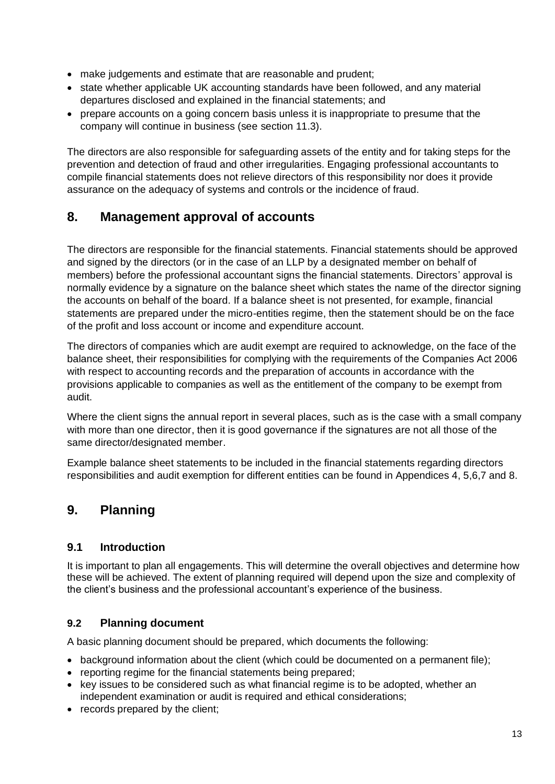- make judgements and estimate that are reasonable and prudent;
- state whether applicable UK accounting standards have been followed, and any material departures disclosed and explained in the financial statements; and
- prepare accounts on a going concern basis unless it is inappropriate to presume that the company will continue in business (see section 11.3).

The directors are also responsible for safeguarding assets of the entity and for taking steps for the prevention and detection of fraud and other irregularities. Engaging professional accountants to compile financial statements does not relieve directors of this responsibility nor does it provide assurance on the adequacy of systems and controls or the incidence of fraud.

# <span id="page-12-0"></span>**8. Management approval of accounts**

The directors are responsible for the financial statements. Financial statements should be approved and signed by the directors (or in the case of an LLP by a designated member on behalf of members) before the professional accountant signs the financial statements. Directors' approval is normally evidence by a signature on the balance sheet which states the name of the director signing the accounts on behalf of the board. If a balance sheet is not presented, for example, financial statements are prepared under the micro-entities regime, then the statement should be on the face of the profit and loss account or income and expenditure account.

The directors of companies which are audit exempt are required to acknowledge, on the face of the balance sheet, their responsibilities for complying with the requirements of the Companies Act 2006 with respect to accounting records and the preparation of accounts in accordance with the provisions applicable to companies as well as the entitlement of the company to be exempt from audit.

Where the client signs the annual report in several places, such as is the case with a small company with more than one director, then it is good governance if the signatures are not all those of the same director/designated member.

Example balance sheet statements to be included in the financial statements regarding directors responsibilities and audit exemption for different entities can be found in Appendices 4, 5,6,7 and 8.

# <span id="page-12-1"></span>**9. Planning**

## <span id="page-12-2"></span>**9.1 Introduction**

It is important to plan all engagements. This will determine the overall objectives and determine how these will be achieved. The extent of planning required will depend upon the size and complexity of the client's business and the professional accountant's experience of the business.

## <span id="page-12-3"></span>**9.2 Planning document**

A basic planning document should be prepared, which documents the following:

- background information about the client (which could be documented on a permanent file);
- reporting regime for the financial statements being prepared;
- key issues to be considered such as what financial regime is to be adopted, whether an independent examination or audit is required and ethical considerations;
- records prepared by the client;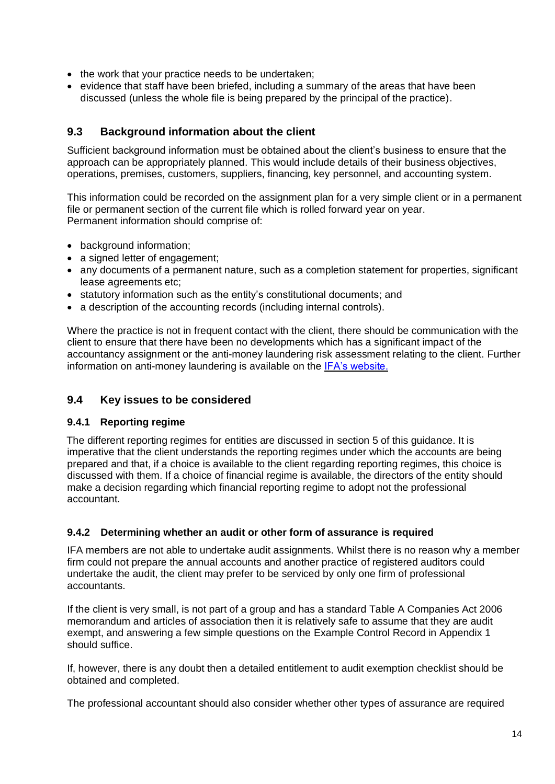- the work that your practice needs to be undertaken;
- evidence that staff have been briefed, including a summary of the areas that have been discussed (unless the whole file is being prepared by the principal of the practice).

#### <span id="page-13-0"></span>**9.3 Background information about the client**

Sufficient background information must be obtained about the client's business to ensure that the approach can be appropriately planned. This would include details of their business obiectives. operations, premises, customers, suppliers, financing, key personnel, and accounting system.

This information could be recorded on the assignment plan for a very simple client or in a permanent file or permanent section of the current file which is rolled forward year on year. Permanent information should comprise of:

- background information;
- a signed letter of engagement;
- any documents of a permanent nature, such as a completion statement for properties, significant lease agreements etc;
- statutory information such as the entity's constitutional documents; and
- a description of the accounting records (including internal controls).

Where the practice is not in frequent contact with the client, there should be communication with the client to ensure that there have been no developments which has a significant impact of the accountancy assignment or the anti-money laundering risk assessment relating to the client. Further information on anti-money laundering is available on the [IFA's website.](https://www.ifa.org.uk/technical-resources/aml)

#### <span id="page-13-1"></span>**9.4 Key issues to be considered**

#### **9.4.1 Reporting regime**

The different reporting regimes for entities are discussed in section 5 of this guidance. It is imperative that the client understands the reporting regimes under which the accounts are being prepared and that, if a choice is available to the client regarding reporting regimes, this choice is discussed with them. If a choice of financial regime is available, the directors of the entity should make a decision regarding which financial reporting regime to adopt not the professional accountant.

#### **9.4.2 Determining whether an audit or other form of assurance is required**

IFA members are not able to undertake audit assignments. Whilst there is no reason why a member firm could not prepare the annual accounts and another practice of registered auditors could undertake the audit, the client may prefer to be serviced by only one firm of professional accountants.

If the client is very small, is not part of a group and has a standard Table A Companies Act 2006 memorandum and articles of association then it is relatively safe to assume that they are audit exempt, and answering a few simple questions on the Example Control Record in Appendix 1 should suffice.

If, however, there is any doubt then a detailed entitlement to audit exemption checklist should be obtained and completed.

The professional accountant should also consider whether other types of assurance are required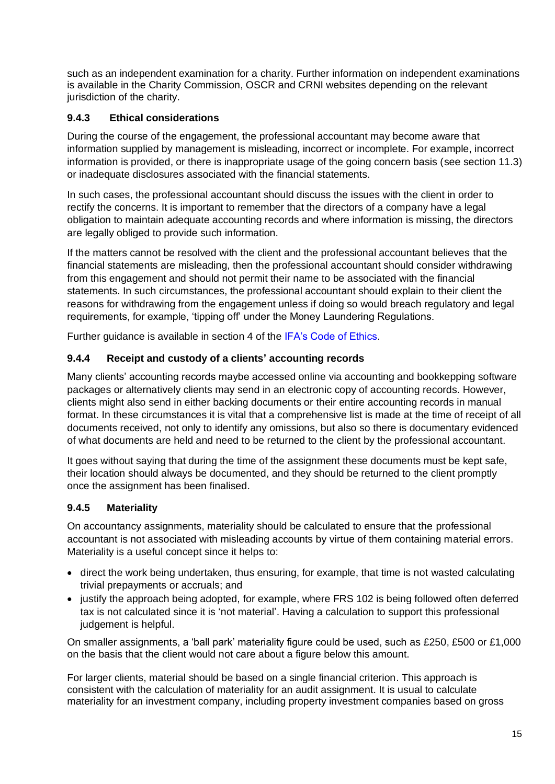such as an independent examination for a charity. Further information on independent examinations is available in the Charity Commission, OSCR and CRNI websites depending on the relevant jurisdiction of the charity.

#### **9.4.3 Ethical considerations**

During the course of the engagement, the professional accountant may become aware that information supplied by management is misleading, incorrect or incomplete. For example, incorrect information is provided, or there is inappropriate usage of the going concern basis (see section 11.3) or inadequate disclosures associated with the financial statements.

In such cases, the professional accountant should discuss the issues with the client in order to rectify the concerns. It is important to remember that the directors of a company have a legal obligation to maintain adequate accounting records and where information is missing, the directors are legally obliged to provide such information.

If the matters cannot be resolved with the client and the professional accountant believes that the financial statements are misleading, then the professional accountant should consider withdrawing from this engagement and should not permit their name to be associated with the financial statements. In such circumstances, the professional accountant should explain to their client the reasons for withdrawing from the engagement unless if doing so would breach regulatory and legal requirements, for example, 'tipping off' under the Money Laundering Regulations.

Further guidance is available in section 4 of the [IFA's Code of Ethics.](https://www.ifa.org.uk/media/1185019/IFA-Code-of-Ethics-effective-March-2020.pdf)

#### **9.4.4 Receipt and custody of a clients' accounting records**

Many clients' accounting records maybe accessed online via accounting and bookkepping software packages or alternatively clients may send in an electronic copy of accounting records. However, clients might also send in either backing documents or their entire accounting records in manual format. In these circumstances it is vital that a comprehensive list is made at the time of receipt of all documents received, not only to identify any omissions, but also so there is documentary evidenced of what documents are held and need to be returned to the client by the professional accountant.

It goes without saying that during the time of the assignment these documents must be kept safe, their location should always be documented, and they should be returned to the client promptly once the assignment has been finalised.

#### **9.4.5 Materiality**

On accountancy assignments, materiality should be calculated to ensure that the professional accountant is not associated with misleading accounts by virtue of them containing material errors. Materiality is a useful concept since it helps to:

- direct the work being undertaken, thus ensuring, for example, that time is not wasted calculating trivial prepayments or accruals; and
- justify the approach being adopted, for example, where FRS 102 is being followed often deferred tax is not calculated since it is 'not material'. Having a calculation to support this professional judgement is helpful.

On smaller assignments, a 'ball park' materiality figure could be used, such as £250, £500 or £1,000 on the basis that the client would not care about a figure below this amount.

For larger clients, material should be based on a single financial criterion. This approach is consistent with the calculation of materiality for an audit assignment. It is usual to calculate materiality for an investment company, including property investment companies based on gross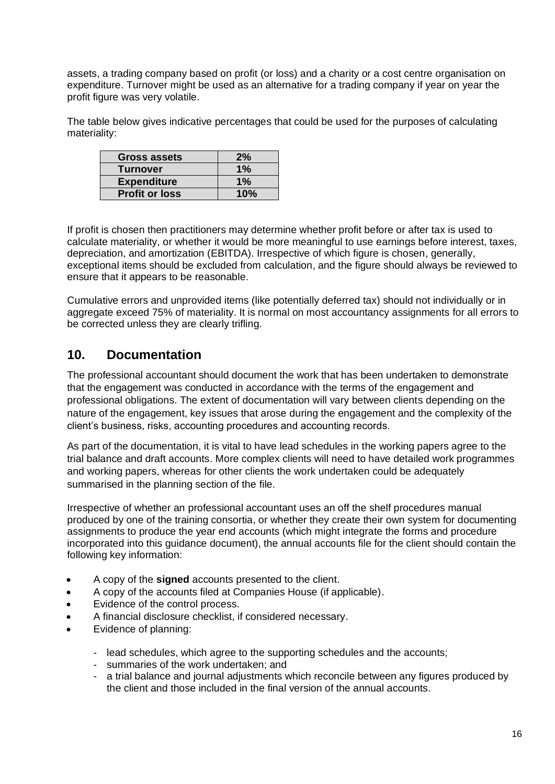assets, a trading company based on profit (or loss) and a charity or a cost centre organisation on expenditure. Turnover might be used as an alternative for a trading company if year on year the profit figure was very volatile.

The table below gives indicative percentages that could be used for the purposes of calculating materiality:

| Gross assets          | 2%    |
|-----------------------|-------|
| <b>Turnover</b>       | $1\%$ |
| <b>Expenditure</b>    | $1\%$ |
| <b>Profit or loss</b> | 10%   |

If profit is chosen then practitioners may determine whether profit before or after tax is used to calculate materiality, or whether it would be more meaningful to use earnings before interest, taxes, depreciation, and amortization (EBITDA). Irrespective of which figure is chosen, generally, exceptional items should be excluded from calculation, and the figure should always be reviewed to ensure that it appears to be reasonable.

Cumulative errors and unprovided items (like potentially deferred tax) should not individually or in aggregate exceed 75% of materiality. It is normal on most accountancy assignments for all errors to be corrected unless they are clearly trifling.

## <span id="page-15-0"></span>**10. Documentation**

The professional accountant should document the work that has been undertaken to demonstrate that the engagement was conducted in accordance with the terms of the engagement and professional obligations. The extent of documentation will vary between clients depending on the nature of the engagement, key issues that arose during the engagement and the complexity of the client's business, risks, accounting procedures and accounting records.

As part of the documentation, it is vital to have lead schedules in the working papers agree to the trial balance and draft accounts. More complex clients will need to have detailed work programmes and working papers, whereas for other clients the work undertaken could be adequately summarised in the planning section of the file.

Irrespective of whether an professional accountant uses an off the shelf procedures manual produced by one of the training consortia, or whether they create their own system for documenting assignments to produce the year end accounts (which might integrate the forms and procedure incorporated into this guidance document), the annual accounts file for the client should contain the following key information:

- A copy of the **signed** accounts presented to the client.
- A copy of the accounts filed at Companies House (if applicable).
- Evidence of the control process.
- A financial disclosure checklist, if considered necessary.
- Evidence of planning:
	- lead schedules, which agree to the supporting schedules and the accounts;
	- summaries of the work undertaken; and
	- a trial balance and journal adjustments which reconcile between any figures produced by the client and those included in the final version of the annual accounts.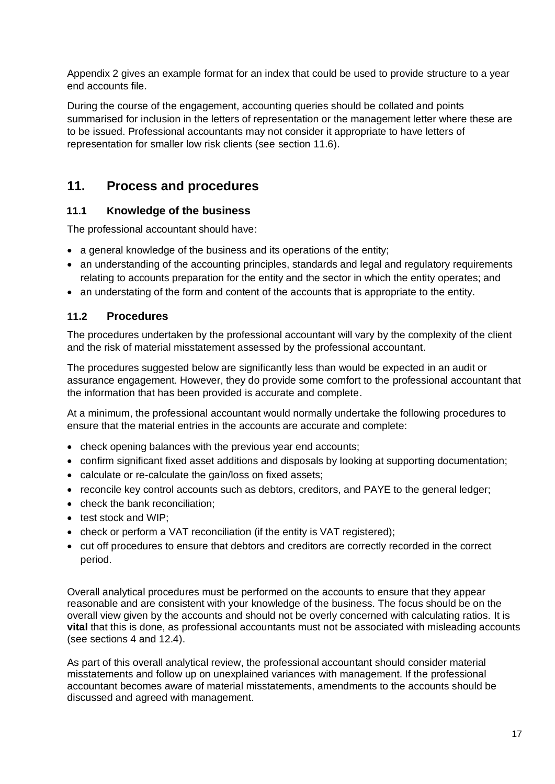Appendix 2 gives an example format for an index that could be used to provide structure to a year end accounts file.

During the course of the engagement, accounting queries should be collated and points summarised for inclusion in the letters of representation or the management letter where these are to be issued. Professional accountants may not consider it appropriate to have letters of representation for smaller low risk clients (see section 11.6).

# <span id="page-16-0"></span>**11. Process and procedures**

## <span id="page-16-1"></span>**11.1 Knowledge of the business**

The professional accountant should have:

- a general knowledge of the business and its operations of the entity;
- an understanding of the accounting principles, standards and legal and regulatory requirements relating to accounts preparation for the entity and the sector in which the entity operates; and
- an understating of the form and content of the accounts that is appropriate to the entity.

#### <span id="page-16-2"></span>**11.2 Procedures**

The procedures undertaken by the professional accountant will vary by the complexity of the client and the risk of material misstatement assessed by the professional accountant.

The procedures suggested below are significantly less than would be expected in an audit or assurance engagement. However, they do provide some comfort to the professional accountant that the information that has been provided is accurate and complete.

At a minimum, the professional accountant would normally undertake the following procedures to ensure that the material entries in the accounts are accurate and complete:

- check opening balances with the previous year end accounts;
- confirm significant fixed asset additions and disposals by looking at supporting documentation;
- calculate or re-calculate the gain/loss on fixed assets:
- reconcile key control accounts such as debtors, creditors, and PAYE to the general ledger;
- check the bank reconciliation:
- test stock and WIP:
- check or perform a VAT reconciliation (if the entity is VAT registered);
- cut off procedures to ensure that debtors and creditors are correctly recorded in the correct period.

Overall analytical procedures must be performed on the accounts to ensure that they appear reasonable and are consistent with your knowledge of the business. The focus should be on the overall view given by the accounts and should not be overly concerned with calculating ratios. It is **vital** that this is done, as professional accountants must not be associated with misleading accounts (see sections 4 and 12.4).

As part of this overall analytical review, the professional accountant should consider material misstatements and follow up on unexplained variances with management. If the professional accountant becomes aware of material misstatements, amendments to the accounts should be discussed and agreed with management.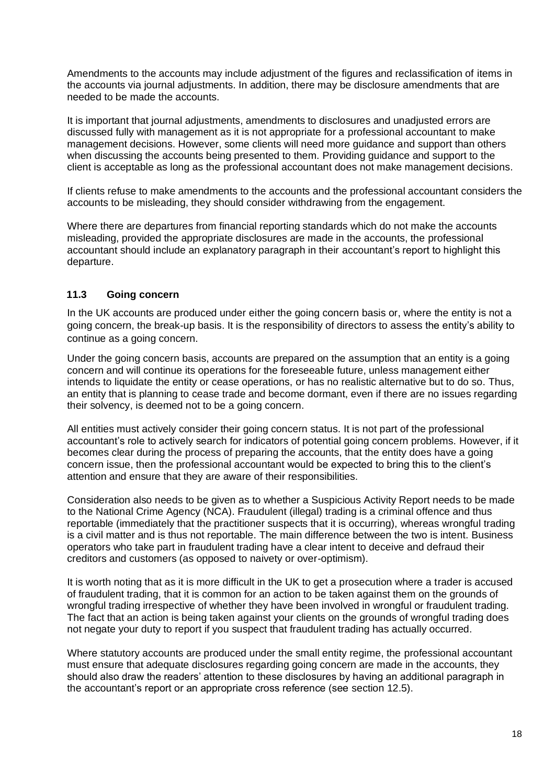Amendments to the accounts may include adjustment of the figures and reclassification of items in the accounts via journal adjustments. In addition, there may be disclosure amendments that are needed to be made the accounts.

It is important that journal adjustments, amendments to disclosures and unadjusted errors are discussed fully with management as it is not appropriate for a professional accountant to make management decisions. However, some clients will need more guidance and support than others when discussing the accounts being presented to them. Providing guidance and support to the client is acceptable as long as the professional accountant does not make management decisions.

If clients refuse to make amendments to the accounts and the professional accountant considers the accounts to be misleading, they should consider withdrawing from the engagement.

Where there are departures from financial reporting standards which do not make the accounts misleading, provided the appropriate disclosures are made in the accounts, the professional accountant should include an explanatory paragraph in their accountant's report to highlight this departure.

#### <span id="page-17-0"></span>**11.3 Going concern**

In the UK accounts are produced under either the going concern basis or, where the entity is not a going concern, the break-up basis. It is the responsibility of directors to assess the entity's ability to continue as a going concern.

Under the going concern basis, accounts are prepared on the assumption that an entity is a going concern and will continue its operations for the foreseeable future, unless management either intends to liquidate the entity or cease operations, or has no realistic alternative but to do so. Thus, an entity that is planning to cease trade and become dormant, even if there are no issues regarding their solvency, is deemed not to be a going concern.

All entities must actively consider their going concern status. It is not part of the professional accountant's role to actively search for indicators of potential going concern problems. However, if it becomes clear during the process of preparing the accounts, that the entity does have a going concern issue, then the professional accountant would be expected to bring this to the client's attention and ensure that they are aware of their responsibilities.

Consideration also needs to be given as to whether a Suspicious Activity Report needs to be made to the National Crime Agency (NCA). Fraudulent (illegal) trading is a criminal offence and thus reportable (immediately that the practitioner suspects that it is occurring), whereas wrongful trading is a civil matter and is thus not reportable. The main difference between the two is intent. Business operators who take part in fraudulent trading have a clear intent to deceive and defraud their creditors and customers (as opposed to naivety or over-optimism).

It is worth noting that as it is more difficult in the UK to get a prosecution where a trader is accused of fraudulent trading, that it is common for an action to be taken against them on the grounds of wrongful trading irrespective of whether they have been involved in wrongful or fraudulent trading. The fact that an action is being taken against your clients on the grounds of wrongful trading does not negate your duty to report if you suspect that fraudulent trading has actually occurred.

Where statutory accounts are produced under the small entity regime, the professional accountant must ensure that adequate disclosures regarding going concern are made in the accounts, they should also draw the readers' attention to these disclosures by having an additional paragraph in the accountant's report or an appropriate cross reference (see section 12.5).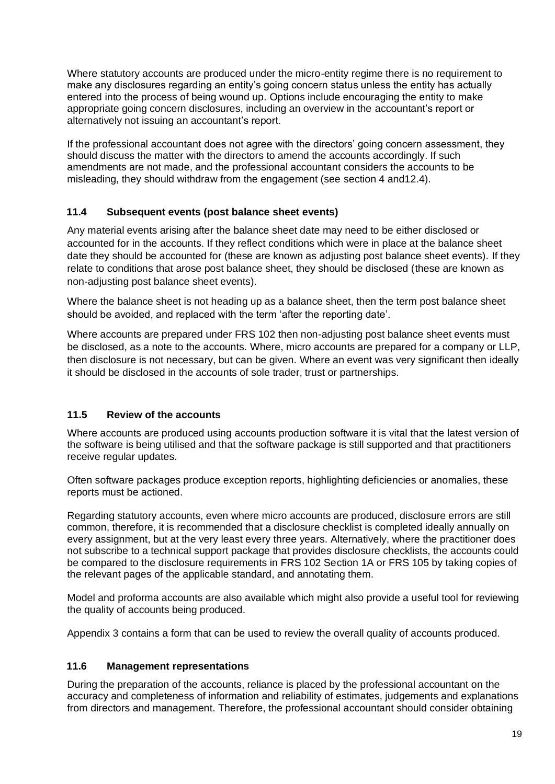Where statutory accounts are produced under the micro-entity regime there is no requirement to make any disclosures regarding an entity's going concern status unless the entity has actually entered into the process of being wound up. Options include encouraging the entity to make appropriate going concern disclosures, including an overview in the accountant's report or alternatively not issuing an accountant's report.

If the professional accountant does not agree with the directors' going concern assessment, they should discuss the matter with the directors to amend the accounts accordingly. If such amendments are not made, and the professional accountant considers the accounts to be misleading, they should withdraw from the engagement (see section 4 and12.4).

#### <span id="page-18-0"></span>**11.4 Subsequent events (post balance sheet events)**

Any material events arising after the balance sheet date may need to be either disclosed or accounted for in the accounts. If they reflect conditions which were in place at the balance sheet date they should be accounted for (these are known as adjusting post balance sheet events). If they relate to conditions that arose post balance sheet, they should be disclosed (these are known as non-adjusting post balance sheet events).

Where the balance sheet is not heading up as a balance sheet, then the term post balance sheet should be avoided, and replaced with the term 'after the reporting date'.

Where accounts are prepared under FRS 102 then non-adjusting post balance sheet events must be disclosed, as a note to the accounts. Where, micro accounts are prepared for a company or LLP, then disclosure is not necessary, but can be given. Where an event was very significant then ideally it should be disclosed in the accounts of sole trader, trust or partnerships.

## <span id="page-18-1"></span>**11.5 Review of the accounts**

Where accounts are produced using accounts production software it is vital that the latest version of the software is being utilised and that the software package is still supported and that practitioners receive regular updates.

Often software packages produce exception reports, highlighting deficiencies or anomalies, these reports must be actioned.

Regarding statutory accounts, even where micro accounts are produced, disclosure errors are still common, therefore, it is recommended that a disclosure checklist is completed ideally annually on every assignment, but at the very least every three years. Alternatively, where the practitioner does not subscribe to a technical support package that provides disclosure checklists, the accounts could be compared to the disclosure requirements in FRS 102 Section 1A or FRS 105 by taking copies of the relevant pages of the applicable standard, and annotating them.

Model and proforma accounts are also available which might also provide a useful tool for reviewing the quality of accounts being produced.

Appendix 3 contains a form that can be used to review the overall quality of accounts produced.

#### <span id="page-18-2"></span>**11.6 Management representations**

During the preparation of the accounts, reliance is placed by the professional accountant on the accuracy and completeness of information and reliability of estimates, judgements and explanations from directors and management. Therefore, the professional accountant should consider obtaining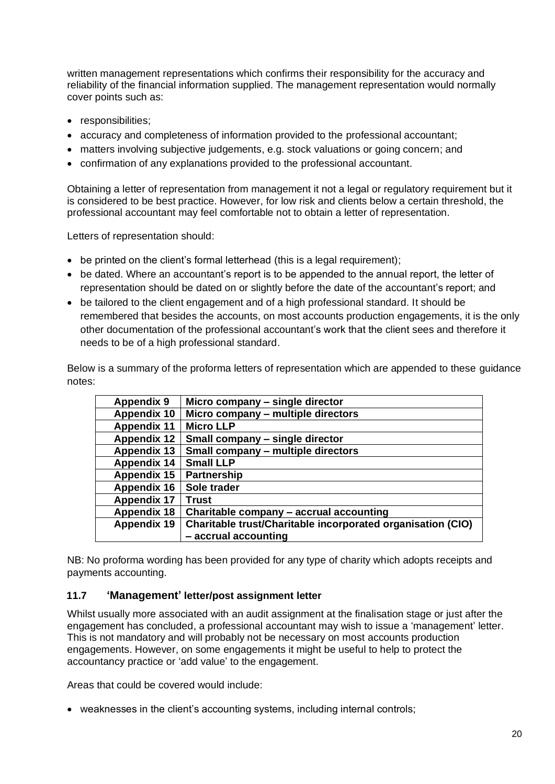written management representations which confirms their responsibility for the accuracy and reliability of the financial information supplied. The management representation would normally cover points such as:

- responsibilities:
- accuracy and completeness of information provided to the professional accountant;
- matters involving subjective judgements, e.g. stock valuations or going concern; and
- confirmation of any explanations provided to the professional accountant.

Obtaining a letter of representation from management it not a legal or regulatory requirement but it is considered to be best practice. However, for low risk and clients below a certain threshold, the professional accountant may feel comfortable not to obtain a letter of representation.

Letters of representation should:

- be printed on the client's formal letterhead (this is a legal requirement);
- be dated. Where an accountant's report is to be appended to the annual report, the letter of representation should be dated on or slightly before the date of the accountant's report; and
- be tailored to the client engagement and of a high professional standard. It should be remembered that besides the accounts, on most accounts production engagements, it is the only other documentation of the professional accountant's work that the client sees and therefore it needs to be of a high professional standard.

Below is a summary of the proforma letters of representation which are appended to these guidance notes:

| <b>Appendix 9</b>  | Micro company – single director                             |
|--------------------|-------------------------------------------------------------|
| <b>Appendix 10</b> | Micro company - multiple directors                          |
| <b>Appendix 11</b> | <b>Micro LLP</b>                                            |
| <b>Appendix 12</b> | Small company – single director                             |
| <b>Appendix 13</b> | Small company - multiple directors                          |
| <b>Appendix 14</b> | <b>Small LLP</b>                                            |
| <b>Appendix 15</b> | <b>Partnership</b>                                          |
| <b>Appendix 16</b> | Sole trader                                                 |
| <b>Appendix 17</b> | <b>Trust</b>                                                |
| <b>Appendix 18</b> | Charitable company - accrual accounting                     |
| <b>Appendix 19</b> | Charitable trust/Charitable incorporated organisation (CIO) |
|                    | - accrual accounting                                        |
|                    |                                                             |

NB: No proforma wording has been provided for any type of charity which adopts receipts and payments accounting.

#### <span id="page-19-0"></span>**11.7 'Management' letter/post assignment letter**

Whilst usually more associated with an audit assignment at the finalisation stage or just after the engagement has concluded, a professional accountant may wish to issue a 'management' letter. This is not mandatory and will probably not be necessary on most accounts production engagements. However, on some engagements it might be useful to help to protect the accountancy practice or 'add value' to the engagement.

Areas that could be covered would include:

• weaknesses in the client's accounting systems, including internal controls;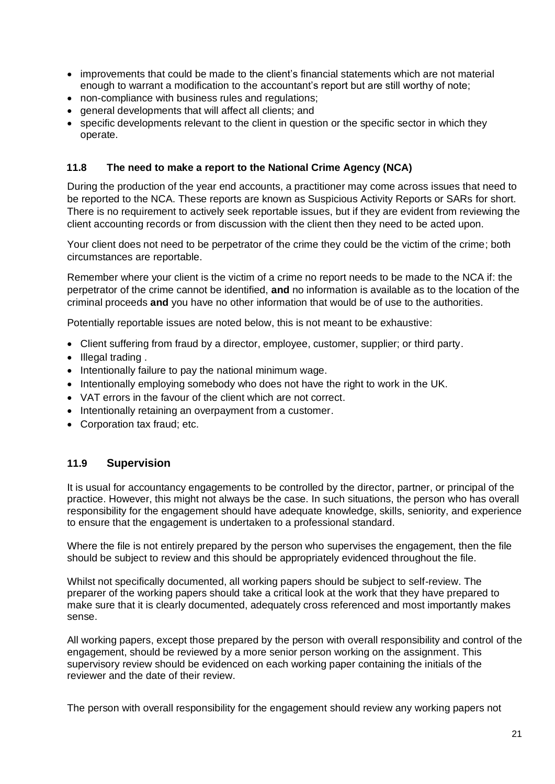- improvements that could be made to the client's financial statements which are not material enough to warrant a modification to the accountant's report but are still worthy of note;
- non-compliance with business rules and regulations;
- general developments that will affect all clients; and
- specific developments relevant to the client in question or the specific sector in which they operate.

#### <span id="page-20-0"></span>**11.8 The need to make a report to the National Crime Agency (NCA)**

During the production of the year end accounts, a practitioner may come across issues that need to be reported to the NCA. These reports are known as Suspicious Activity Reports or SARs for short. There is no requirement to actively seek reportable issues, but if they are evident from reviewing the client accounting records or from discussion with the client then they need to be acted upon.

Your client does not need to be perpetrator of the crime they could be the victim of the crime; both circumstances are reportable.

Remember where your client is the victim of a crime no report needs to be made to the NCA if: the perpetrator of the crime cannot be identified, **and** no information is available as to the location of the criminal proceeds **and** you have no other information that would be of use to the authorities.

Potentially reportable issues are noted below, this is not meant to be exhaustive:

- Client suffering from fraud by a director, employee, customer, supplier; or third party.
- Illegal trading.
- Intentionally failure to pay the national minimum wage.
- Intentionally employing somebody who does not have the right to work in the UK.
- VAT errors in the favour of the client which are not correct.
- Intentionally retaining an overpayment from a customer.
- Corporation tax fraud; etc.

#### <span id="page-20-1"></span>**11.9 Supervision**

It is usual for accountancy engagements to be controlled by the director, partner, or principal of the practice. However, this might not always be the case. In such situations, the person who has overall responsibility for the engagement should have adequate knowledge, skills, seniority, and experience to ensure that the engagement is undertaken to a professional standard.

Where the file is not entirely prepared by the person who supervises the engagement, then the file should be subject to review and this should be appropriately evidenced throughout the file.

Whilst not specifically documented, all working papers should be subject to self-review. The preparer of the working papers should take a critical look at the work that they have prepared to make sure that it is clearly documented, adequately cross referenced and most importantly makes sense.

All working papers, except those prepared by the person with overall responsibility and control of the engagement, should be reviewed by a more senior person working on the assignment. This supervisory review should be evidenced on each working paper containing the initials of the reviewer and the date of their review.

The person with overall responsibility for the engagement should review any working papers not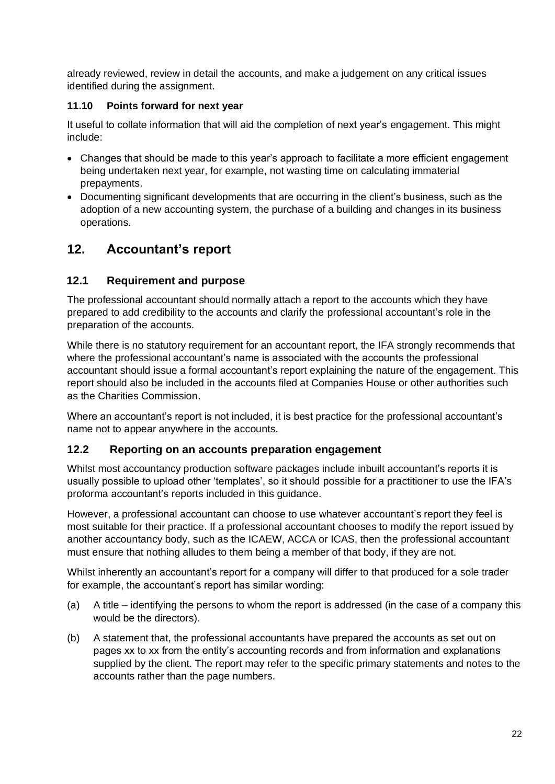already reviewed, review in detail the accounts, and make a judgement on any critical issues identified during the assignment.

#### **11.10 Points forward for next year**

It useful to collate information that will aid the completion of next year's engagement. This might include:

- Changes that should be made to this year's approach to facilitate a more efficient engagement being undertaken next year, for example, not wasting time on calculating immaterial prepayments.
- Documenting significant developments that are occurring in the client's business, such as the adoption of a new accounting system, the purchase of a building and changes in its business operations.

# <span id="page-21-0"></span>**12. Accountant's report**

## <span id="page-21-1"></span>**12.1 Requirement and purpose**

The professional accountant should normally attach a report to the accounts which they have prepared to add credibility to the accounts and clarify the professional accountant's role in the preparation of the accounts.

While there is no statutory requirement for an accountant report, the IFA strongly recommends that where the professional accountant's name is associated with the accounts the professional accountant should issue a formal accountant's report explaining the nature of the engagement. This report should also be included in the accounts filed at Companies House or other authorities such as the Charities Commission.

Where an accountant's report is not included, it is best practice for the professional accountant's name not to appear anywhere in the accounts.

## <span id="page-21-2"></span>**12.2 Reporting on an accounts preparation engagement**

Whilst most accountancy production software packages include inbuilt accountant's reports it is usually possible to upload other 'templates', so it should possible for a practitioner to use the IFA's proforma accountant's reports included in this guidance.

However, a professional accountant can choose to use whatever accountant's report they feel is most suitable for their practice. If a professional accountant chooses to modify the report issued by another accountancy body, such as the ICAEW, ACCA or ICAS, then the professional accountant must ensure that nothing alludes to them being a member of that body, if they are not.

Whilst inherently an accountant's report for a company will differ to that produced for a sole trader for example, the accountant's report has similar wording:

- (a) A title identifying the persons to whom the report is addressed (in the case of a company this would be the directors).
- (b) A statement that, the professional accountants have prepared the accounts as set out on pages xx to xx from the entity's accounting records and from information and explanations supplied by the client. The report may refer to the specific primary statements and notes to the accounts rather than the page numbers.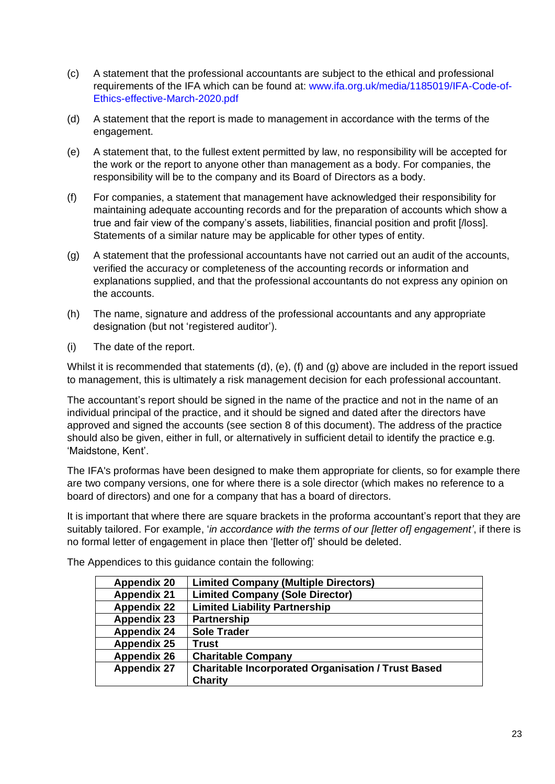- (c) A statement that the professional accountants are subject to the ethical and professional requirements of the IFA which can be found at: [www.ifa.org.uk/media/1185019/IFA-Code-of-](http://www.ifa.org.uk/media/1185019/IFA-Code-of-Ethics-effective-March-2020.pdf)[Ethics-effective-March-2020.pdf](http://www.ifa.org.uk/media/1185019/IFA-Code-of-Ethics-effective-March-2020.pdf)
- (d) A statement that the report is made to management in accordance with the terms of the engagement.
- (e) A statement that, to the fullest extent permitted by law, no responsibility will be accepted for the work or the report to anyone other than management as a body. For companies, the responsibility will be to the company and its Board of Directors as a body.
- (f) For companies, a statement that management have acknowledged their responsibility for maintaining adequate accounting records and for the preparation of accounts which show a true and fair view of the company's assets, liabilities, financial position and profit [/loss]. Statements of a similar nature may be applicable for other types of entity.
- (g) A statement that the professional accountants have not carried out an audit of the accounts, verified the accuracy or completeness of the accounting records or information and explanations supplied, and that the professional accountants do not express any opinion on the accounts.
- (h) The name, signature and address of the professional accountants and any appropriate designation (but not 'registered auditor').
- (i) The date of the report.

Whilst it is recommended that statements (d), (e), (f) and (g) above are included in the report issued to management, this is ultimately a risk management decision for each professional accountant.

The accountant's report should be signed in the name of the practice and not in the name of an individual principal of the practice, and it should be signed and dated after the directors have approved and signed the accounts (see section 8 of this document). The address of the practice should also be given, either in full, or alternatively in sufficient detail to identify the practice e.g. 'Maidstone, Kent'.

The IFA's proformas have been designed to make them appropriate for clients, so for example there are two company versions, one for where there is a sole director (which makes no reference to a board of directors) and one for a company that has a board of directors.

It is important that where there are square brackets in the proforma accountant's report that they are suitably tailored. For example, '*in accordance with the terms of our [letter of] engagement'*, if there is no formal letter of engagement in place then '[letter of]' should be deleted.

| <b>Limited Company (Multiple Directors)</b>               |
|-----------------------------------------------------------|
| <b>Limited Company (Sole Director)</b>                    |
| <b>Limited Liability Partnership</b>                      |
| <b>Partnership</b>                                        |
| <b>Sole Trader</b>                                        |
| Trust                                                     |
| <b>Charitable Company</b>                                 |
| <b>Charitable Incorporated Organisation / Trust Based</b> |
| <b>Charity</b>                                            |
|                                                           |

The Appendices to this guidance contain the following: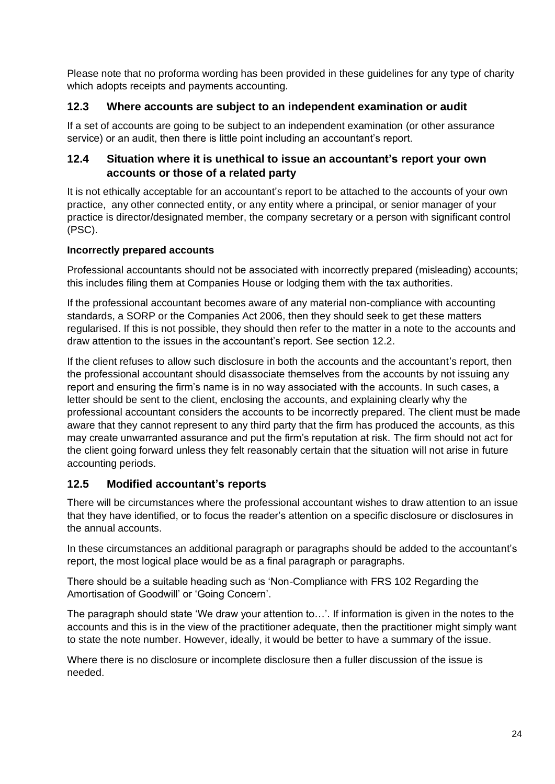Please note that no proforma wording has been provided in these guidelines for any type of charity which adopts receipts and payments accounting.

## <span id="page-23-0"></span>**12.3 Where accounts are subject to an independent examination or audit**

If a set of accounts are going to be subject to an independent examination (or other assurance service) or an audit, then there is little point including an accountant's report.

#### <span id="page-23-1"></span>**12.4 Situation where it is unethical to issue an accountant's report your own accounts or those of a related party**

It is not ethically acceptable for an accountant's report to be attached to the accounts of your own practice, any other connected entity, or any entity where a principal, or senior manager of your practice is director/designated member, the company secretary or a person with significant control (PSC).

#### **Incorrectly prepared accounts**

Professional accountants should not be associated with incorrectly prepared (misleading) accounts; this includes filing them at Companies House or lodging them with the tax authorities.

If the professional accountant becomes aware of any material non-compliance with accounting standards, a SORP or the Companies Act 2006, then they should seek to get these matters regularised. If this is not possible, they should then refer to the matter in a note to the accounts and draw attention to the issues in the accountant's report. See section 12.2.

If the client refuses to allow such disclosure in both the accounts and the accountant's report, then the professional accountant should disassociate themselves from the accounts by not issuing any report and ensuring the firm's name is in no way associated with the accounts. In such cases, a letter should be sent to the client, enclosing the accounts, and explaining clearly why the professional accountant considers the accounts to be incorrectly prepared. The client must be made aware that they cannot represent to any third party that the firm has produced the accounts, as this may create unwarranted assurance and put the firm's reputation at risk. The firm should not act for the client going forward unless they felt reasonably certain that the situation will not arise in future accounting periods.

## <span id="page-23-2"></span>**12.5 Modified accountant's reports**

There will be circumstances where the professional accountant wishes to draw attention to an issue that they have identified, or to focus the reader's attention on a specific disclosure or disclosures in the annual accounts.

In these circumstances an additional paragraph or paragraphs should be added to the accountant's report, the most logical place would be as a final paragraph or paragraphs.

There should be a suitable heading such as 'Non-Compliance with FRS 102 Regarding the Amortisation of Goodwill' or 'Going Concern'.

The paragraph should state 'We draw your attention to…'. If information is given in the notes to the accounts and this is in the view of the practitioner adequate, then the practitioner might simply want to state the note number. However, ideally, it would be better to have a summary of the issue.

Where there is no disclosure or incomplete disclosure then a fuller discussion of the issue is needed.